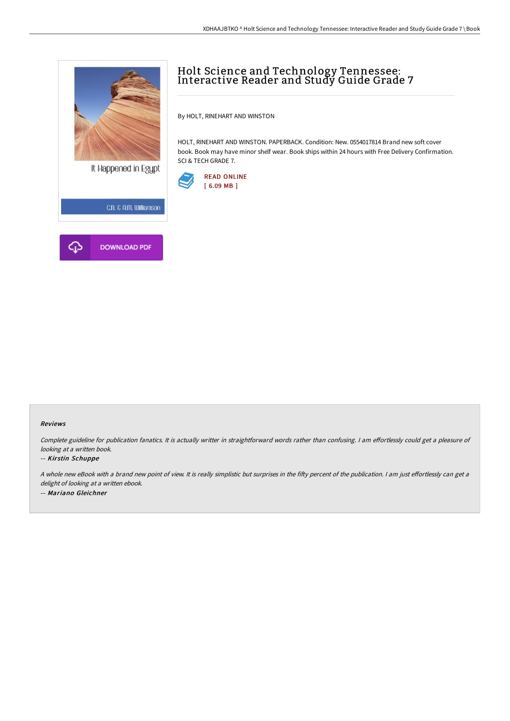

## Holt Science and Technology Tennessee: Interactive Reader and Study Guide Grade 7

By HOLT, RINEHART AND WINSTON

HOLT, RINEHART AND WINSTON. PAPERBACK. Condition: New. 0554017814 Brand new soft cover book. Book may have minor shelf wear. Book ships within 24 hours with Free Delivery Confirmation. SCI & TECH GRADE 7.



## Reviews

Complete guideline for publication fanatics. It is actually writter in straightforward words rather than confusing. I am effortlessly could get a pleasure of looking at <sup>a</sup> written book.

## -- Kirstin Schuppe

A whole new eBook with a brand new point of view. It is really simplistic but surprises in the fifty percent of the publication. I am just effortlessly can get a delight of looking at a written ebook. -- Mariano Gleichner